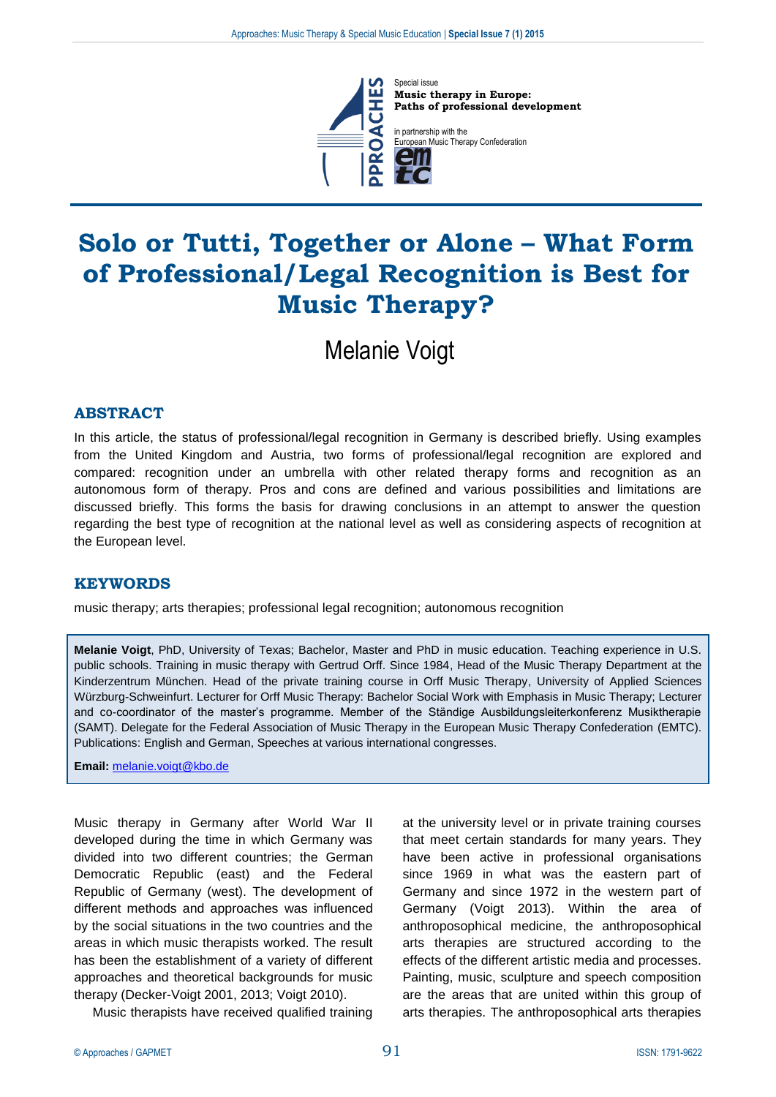

Special issue **Music therapy in Europe: Paths of professional development**

in partnership with the ropean Music Therapy Confederation

# **Solo or Tutti, Together or Alone – What Form of Professional/Legal Recognition is Best for Music Therapy?**

Melanie Voigt

# **ABSTRACT**

In this article, the status of professional/legal recognition in Germany is described briefly. Using examples from the United Kingdom and Austria, two forms of professional/legal recognition are explored and compared: recognition under an umbrella with other related therapy forms and recognition as an autonomous form of therapy. Pros and cons are defined and various possibilities and limitations are discussed briefly. This forms the basis for drawing conclusions in an attempt to answer the question regarding the best type of recognition at the national level as well as considering aspects of recognition at the European level.

#### **KEYWORDS**

music therapy; arts therapies; professional legal recognition; autonomous recognition

**Melanie Voigt**, PhD, University of Texas; Bachelor, Master and PhD in music education. Teaching experience in U.S. public schools. Training in music therapy with Gertrud Orff. Since 1984, Head of the Music Therapy Department at the Kinderzentrum München. Head of the private training course in Orff Music Therapy, University of Applied Sciences Würzburg-Schweinfurt. Lecturer for Orff Music Therapy: Bachelor Social Work with Emphasis in Music Therapy; Lecturer and co-coordinator of the master's programme. Member of the Ständige Ausbildungsleiterkonferenz Musiktherapie (SAMT). Delegate for the Federal Association of Music Therapy in the European Music Therapy Confederation (EMTC). Publications: English and German, Speeches at various international congresses.

**Email:** [melanie.voigt@kbo.de](mailto:melanie.voigt@kbo.de)

Music therapy in Germany after World War II developed during the time in which Germany was divided into two different countries; the German Democratic Republic (east) and the Federal Republic of Germany (west). The development of different methods and approaches was influenced by the social situations in the two countries and the areas in which music therapists worked. The result has been the establishment of a variety of different approaches and theoretical backgrounds for music therapy (Decker-Voigt 2001, 2013; Voigt 2010).

Music therapists have received qualified training

at the university level or in private training courses that meet certain standards for many years. They have been active in professional organisations since 1969 in what was the eastern part of Germany and since 1972 in the western part of Germany (Voigt 2013). Within the area of anthroposophical medicine, the anthroposophical arts therapies are structured according to the effects of the different artistic media and processes. Painting, music, sculpture and speech composition are the areas that are united within this group of arts therapies. The anthroposophical arts therapies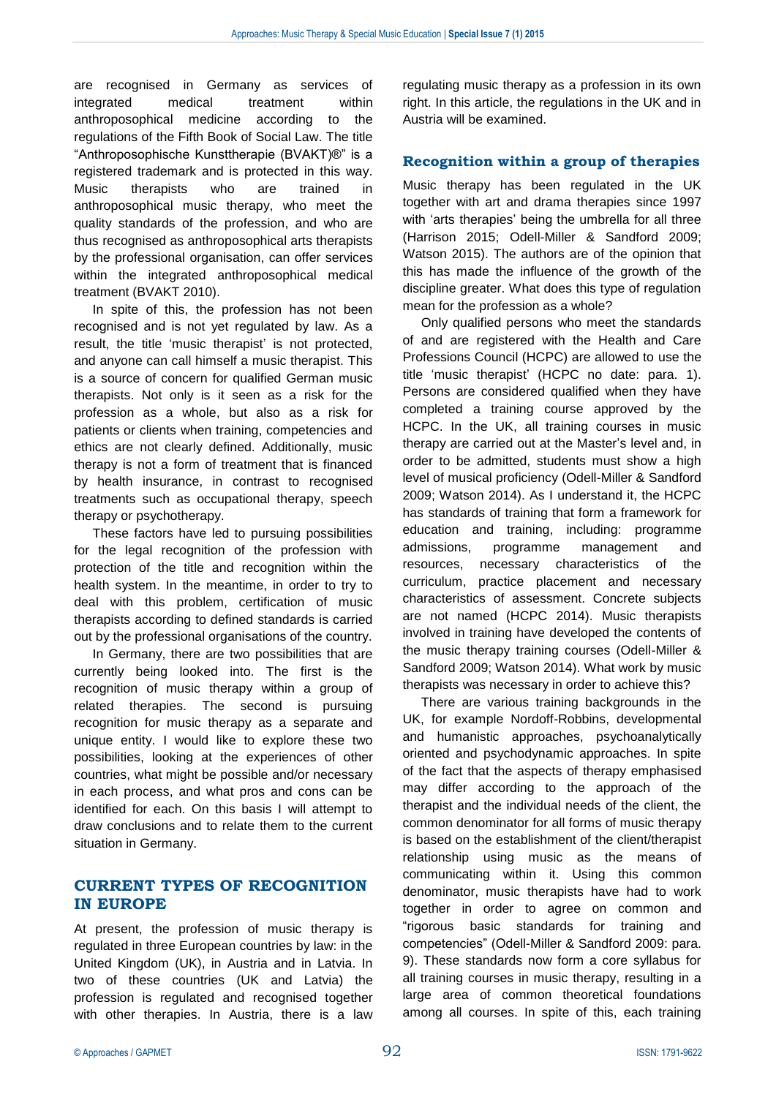are recognised in Germany as services of integrated medical treatment within anthroposophical medicine according to the regulations of the Fifth Book of Social Law. The title "Anthroposophische Kunsttherapie (BVAKT)®" is a registered trademark and is protected in this way. Music therapists who are trained in anthroposophical music therapy, who meet the quality standards of the profession, and who are thus recognised as anthroposophical arts therapists by the professional organisation, can offer services within the integrated anthroposophical medical treatment (BVAKT 2010).

In spite of this, the profession has not been recognised and is not yet regulated by law. As a result, the title 'music therapist' is not protected, and anyone can call himself a music therapist. This is a source of concern for qualified German music therapists. Not only is it seen as a risk for the profession as a whole, but also as a risk for patients or clients when training, competencies and ethics are not clearly defined. Additionally, music therapy is not a form of treatment that is financed by health insurance, in contrast to recognised treatments such as occupational therapy, speech therapy or psychotherapy.

These factors have led to pursuing possibilities for the legal recognition of the profession with protection of the title and recognition within the health system. In the meantime, in order to try to deal with this problem, certification of music therapists according to defined standards is carried out by the professional organisations of the country.

In Germany, there are two possibilities that are currently being looked into. The first is the recognition of music therapy within a group of related therapies. The second is pursuing recognition for music therapy as a separate and unique entity. I would like to explore these two possibilities, looking at the experiences of other countries, what might be possible and/or necessary in each process, and what pros and cons can be identified for each. On this basis I will attempt to draw conclusions and to relate them to the current situation in Germany.

# **CURRENT TYPES OF RECOGNITION IN EUROPE**

At present, the profession of music therapy is regulated in three European countries by law: in the United Kingdom (UK), in Austria and in Latvia. In two of these countries (UK and Latvia) the profession is regulated and recognised together with other therapies. In Austria, there is a law regulating music therapy as a profession in its own right. In this article, the regulations in the UK and in Austria will be examined.

#### **Recognition within a group of therapies**

Music therapy has been regulated in the UK together with art and drama therapies since 1997 with 'arts therapies' being the umbrella for all three (Harrison 2015; Odell-Miller & Sandford 2009; Watson 2015). The authors are of the opinion that this has made the influence of the growth of the discipline greater. What does this type of regulation mean for the profession as a whole?

Only qualified persons who meet the standards of and are registered with the Health and Care Professions Council (HCPC) are allowed to use the title 'music therapist' (HCPC no date: para. 1). Persons are considered qualified when they have completed a training course approved by the HCPC. In the UK, all training courses in music therapy are carried out at the Master's level and, in order to be admitted, students must show a high level of musical proficiency (Odell-Miller & Sandford 2009; Watson 2014). As I understand it, the HCPC has standards of training that form a framework for education and training, including: programme admissions, programme management and resources, necessary characteristics of the curriculum, practice placement and necessary characteristics of assessment. Concrete subjects are not named (HCPC 2014). Music therapists involved in training have developed the contents of the music therapy training courses (Odell-Miller & Sandford 2009; Watson 2014). What work by music therapists was necessary in order to achieve this?

There are various training backgrounds in the UK, for example Nordoff-Robbins, developmental and humanistic approaches, psychoanalytically oriented and psychodynamic approaches. In spite of the fact that the aspects of therapy emphasised may differ according to the approach of the therapist and the individual needs of the client, the common denominator for all forms of music therapy is based on the establishment of the client/therapist relationship using music as the means of communicating within it. Using this common denominator, music therapists have had to work together in order to agree on common and "rigorous basic standards for training and competencies" (Odell-Miller & Sandford 2009: para. 9). These standards now form a core syllabus for all training courses in music therapy, resulting in a large area of common theoretical foundations among all courses. In spite of this, each training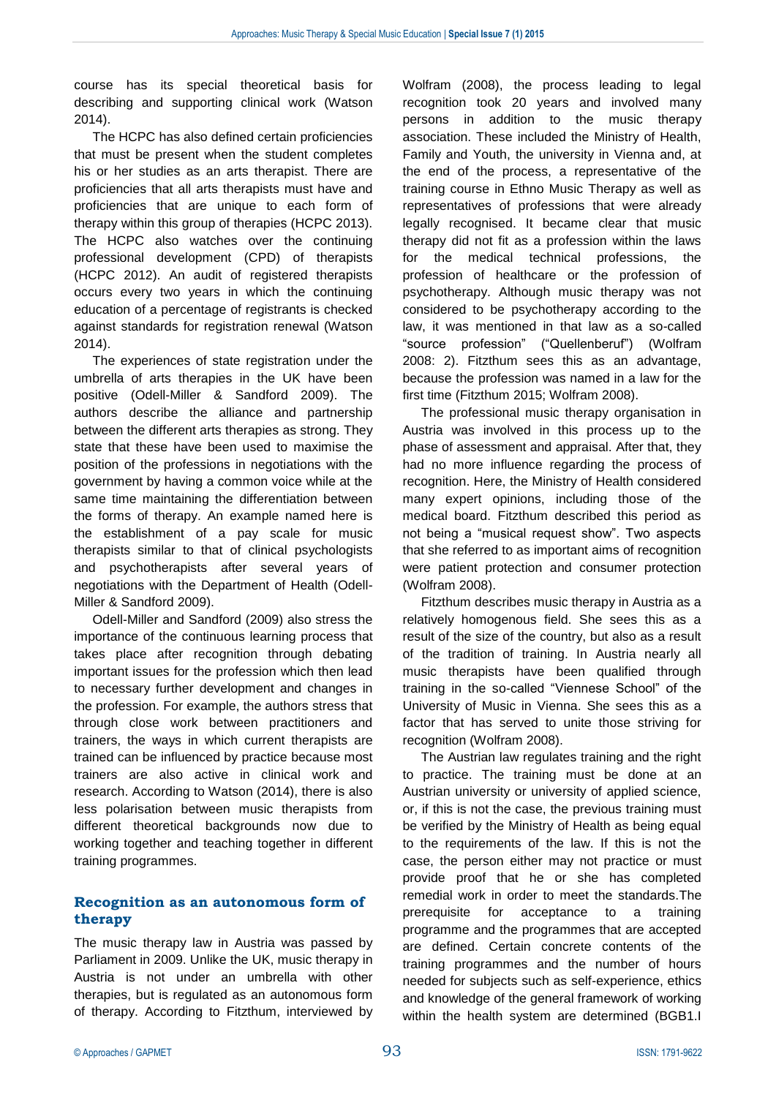course has its special theoretical basis for describing and supporting clinical work (Watson 2014).

The HCPC has also defined certain proficiencies that must be present when the student completes his or her studies as an arts therapist. There are proficiencies that all arts therapists must have and proficiencies that are unique to each form of therapy within this group of therapies (HCPC 2013). The HCPC also watches over the continuing professional development (CPD) of therapists (HCPC 2012). An audit of registered therapists occurs every two years in which the continuing education of a percentage of registrants is checked against standards for registration renewal (Watson 2014).

The experiences of state registration under the umbrella of arts therapies in the UK have been positive (Odell-Miller & Sandford 2009). The authors describe the alliance and partnership between the different arts therapies as strong. They state that these have been used to maximise the position of the professions in negotiations with the government by having a common voice while at the same time maintaining the differentiation between the forms of therapy. An example named here is the establishment of a pay scale for music therapists similar to that of clinical psychologists and psychotherapists after several years of negotiations with the Department of Health (Odell-Miller & Sandford 2009).

Odell-Miller and Sandford (2009) also stress the importance of the continuous learning process that takes place after recognition through debating important issues for the profession which then lead to necessary further development and changes in the profession. For example, the authors stress that through close work between practitioners and trainers, the ways in which current therapists are trained can be influenced by practice because most trainers are also active in clinical work and research. According to Watson (2014), there is also less polarisation between music therapists from different theoretical backgrounds now due to working together and teaching together in different training programmes.

#### **Recognition as an autonomous form of therapy**

The music therapy law in Austria was passed by Parliament in 2009. Unlike the UK, music therapy in Austria is not under an umbrella with other therapies, but is regulated as an autonomous form of therapy. According to Fitzthum, interviewed by Wolfram (2008), the process leading to legal recognition took 20 years and involved many persons in addition to the music therapy association. These included the Ministry of Health, Family and Youth, the university in Vienna and, at the end of the process, a representative of the training course in Ethno Music Therapy as well as representatives of professions that were already legally recognised. It became clear that music therapy did not fit as a profession within the laws for the medical technical professions, the profession of healthcare or the profession of psychotherapy. Although music therapy was not considered to be psychotherapy according to the law, it was mentioned in that law as a so-called "source profession" ("Quellenberuf") (Wolfram 2008: 2). Fitzthum sees this as an advantage, because the profession was named in a law for the first time (Fitzthum 2015; Wolfram 2008).

The professional music therapy organisation in Austria was involved in this process up to the phase of assessment and appraisal. After that, they had no more influence regarding the process of recognition. Here, the Ministry of Health considered many expert opinions, including those of the medical board. Fitzthum described this period as not being a "musical request show". Two aspects that she referred to as important aims of recognition were patient protection and consumer protection (Wolfram 2008).

Fitzthum describes music therapy in Austria as a relatively homogenous field. She sees this as a result of the size of the country, but also as a result of the tradition of training. In Austria nearly all music therapists have been qualified through training in the so-called "Viennese School" of the University of Music in Vienna. She sees this as a factor that has served to unite those striving for recognition (Wolfram 2008).

The Austrian law regulates training and the right to practice. The training must be done at an Austrian university or university of applied science, or, if this is not the case, the previous training must be verified by the Ministry of Health as being equal to the requirements of the law. If this is not the case, the person either may not practice or must provide proof that he or she has completed remedial work in order to meet the standards.The prerequisite for acceptance to a training programme and the programmes that are accepted are defined. Certain concrete contents of the training programmes and the number of hours needed for subjects such as self-experience, ethics and knowledge of the general framework of working within the health system are determined (BGB1.I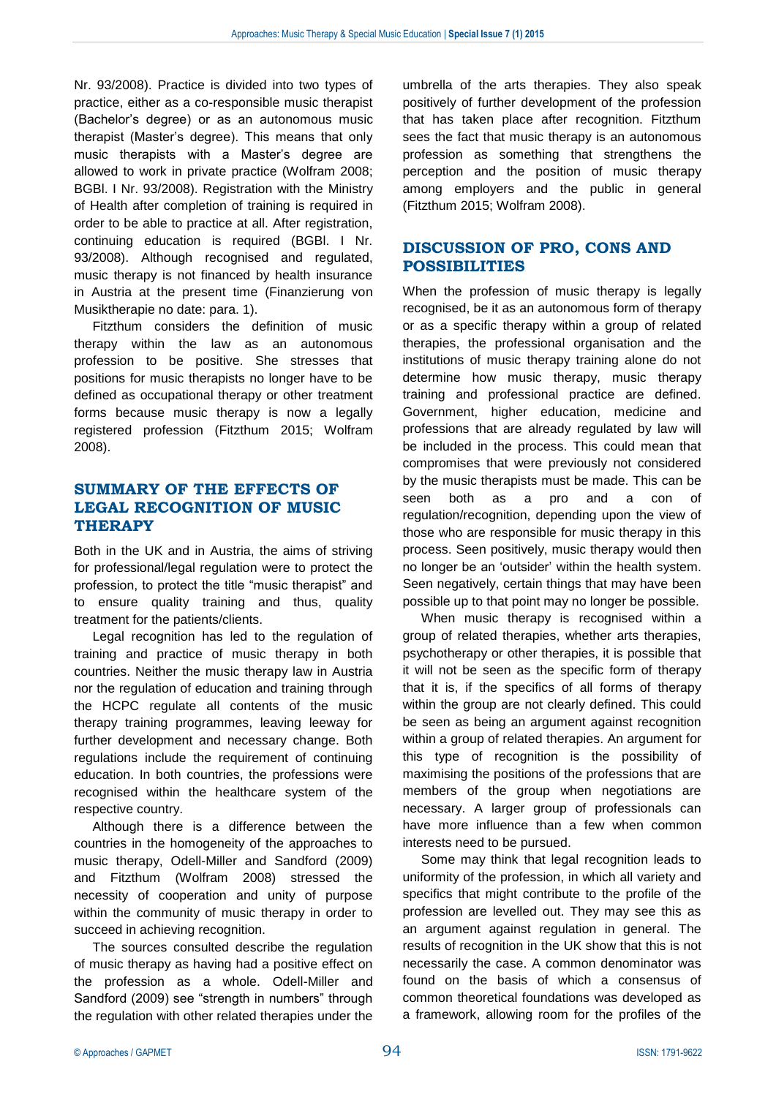Nr. 93/2008). Practice is divided into two types of practice, either as a co-responsible music therapist (Bachelor's degree) or as an autonomous music therapist (Master's degree). This means that only music therapists with a Master's degree are allowed to work in private practice (Wolfram 2008; BGBl. I Nr. 93/2008). Registration with the Ministry of Health after completion of training is required in order to be able to practice at all. After registration, continuing education is required (BGBl. I Nr. 93/2008). Although recognised and regulated, music therapy is not financed by health insurance in Austria at the present time (Finanzierung von Musiktherapie no date: para. 1).

Fitzthum considers the definition of music therapy within the law as an autonomous profession to be positive. She stresses that positions for music therapists no longer have to be defined as occupational therapy or other treatment forms because music therapy is now a legally registered profession (Fitzthum 2015; Wolfram 2008).

# **SUMMARY OF THE EFFECTS OF LEGAL RECOGNITION OF MUSIC THERAPY**

Both in the UK and in Austria, the aims of striving for professional/legal regulation were to protect the profession, to protect the title "music therapist" and to ensure quality training and thus, quality treatment for the patients/clients.

Legal recognition has led to the regulation of training and practice of music therapy in both countries. Neither the music therapy law in Austria nor the regulation of education and training through the HCPC regulate all contents of the music therapy training programmes, leaving leeway for further development and necessary change. Both regulations include the requirement of continuing education. In both countries, the professions were recognised within the healthcare system of the respective country.

Although there is a difference between the countries in the homogeneity of the approaches to music therapy, Odell-Miller and Sandford (2009) and Fitzthum (Wolfram 2008) stressed the necessity of cooperation and unity of purpose within the community of music therapy in order to succeed in achieving recognition.

The sources consulted describe the regulation of music therapy as having had a positive effect on the profession as a whole. Odell-Miller and Sandford (2009) see "strength in numbers" through the regulation with other related therapies under the

umbrella of the arts therapies. They also speak positively of further development of the profession that has taken place after recognition. Fitzthum sees the fact that music therapy is an autonomous profession as something that strengthens the perception and the position of music therapy among employers and the public in general (Fitzthum 2015; Wolfram 2008).

# **DISCUSSION OF PRO, CONS AND POSSIBILITIES**

When the profession of music therapy is legally recognised, be it as an autonomous form of therapy or as a specific therapy within a group of related therapies, the professional organisation and the institutions of music therapy training alone do not determine how music therapy, music therapy training and professional practice are defined. Government, higher education, medicine and professions that are already regulated by law will be included in the process. This could mean that compromises that were previously not considered by the music therapists must be made. This can be seen both as a pro and a con of regulation/recognition, depending upon the view of those who are responsible for music therapy in this process. Seen positively, music therapy would then no longer be an 'outsider' within the health system. Seen negatively, certain things that may have been possible up to that point may no longer be possible.

When music therapy is recognised within a group of related therapies, whether arts therapies, psychotherapy or other therapies, it is possible that it will not be seen as the specific form of therapy that it is, if the specifics of all forms of therapy within the group are not clearly defined. This could be seen as being an argument against recognition within a group of related therapies. An argument for this type of recognition is the possibility of maximising the positions of the professions that are members of the group when negotiations are necessary. A larger group of professionals can have more influence than a few when common interests need to be pursued.

Some may think that legal recognition leads to uniformity of the profession, in which all variety and specifics that might contribute to the profile of the profession are levelled out. They may see this as an argument against regulation in general. The results of recognition in the UK show that this is not necessarily the case. A common denominator was found on the basis of which a consensus of common theoretical foundations was developed as a framework, allowing room for the profiles of the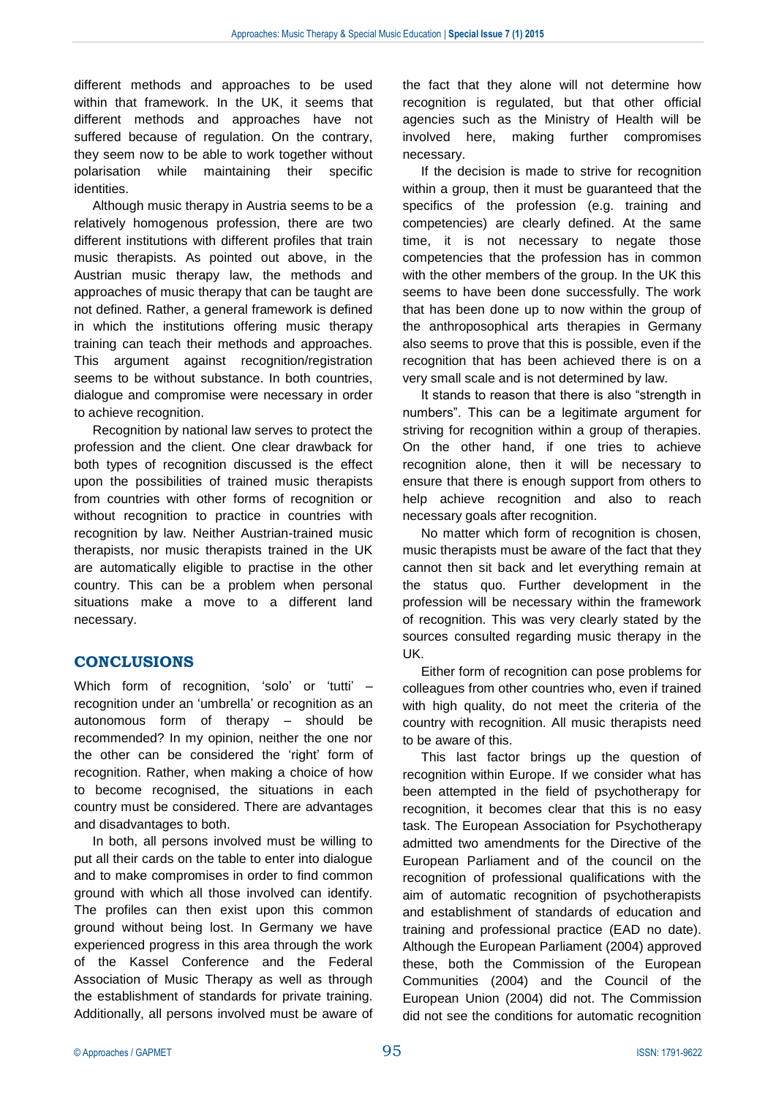different methods and approaches to be used within that framework. In the UK, it seems that different methods and approaches have not suffered because of regulation. On the contrary, they seem now to be able to work together without polarisation while maintaining their specific identities.

Although music therapy in Austria seems to be a relatively homogenous profession, there are two different institutions with different profiles that train music therapists. As pointed out above, in the Austrian music therapy law, the methods and approaches of music therapy that can be taught are not defined. Rather, a general framework is defined in which the institutions offering music therapy training can teach their methods and approaches. This argument against recognition/registration seems to be without substance. In both countries, dialogue and compromise were necessary in order to achieve recognition.

Recognition by national law serves to protect the profession and the client. One clear drawback for both types of recognition discussed is the effect upon the possibilities of trained music therapists from countries with other forms of recognition or without recognition to practice in countries with recognition by law. Neither Austrian-trained music therapists, nor music therapists trained in the UK are automatically eligible to practise in the other country. This can be a problem when personal situations make a move to a different land necessary.

# **CONCLUSIONS**

Which form of recognition, 'solo' or 'tutti' – recognition under an 'umbrella' or recognition as an autonomous form of therapy – should be recommended? In my opinion, neither the one nor the other can be considered the 'right' form of recognition. Rather, when making a choice of how to become recognised, the situations in each country must be considered. There are advantages and disadvantages to both.

In both, all persons involved must be willing to put all their cards on the table to enter into dialogue and to make compromises in order to find common ground with which all those involved can identify. The profiles can then exist upon this common ground without being lost. In Germany we have experienced progress in this area through the work of the Kassel Conference and the Federal Association of Music Therapy as well as through the establishment of standards for private training. Additionally, all persons involved must be aware of the fact that they alone will not determine how recognition is regulated, but that other official agencies such as the Ministry of Health will be involved here, making further compromises necessary.

If the decision is made to strive for recognition within a group, then it must be guaranteed that the specifics of the profession (e.g. training and competencies) are clearly defined. At the same time, it is not necessary to negate those competencies that the profession has in common with the other members of the group. In the UK this seems to have been done successfully. The work that has been done up to now within the group of the anthroposophical arts therapies in Germany also seems to prove that this is possible, even if the recognition that has been achieved there is on a very small scale and is not determined by law.

It stands to reason that there is also "strength in numbers". This can be a legitimate argument for striving for recognition within a group of therapies. On the other hand, if one tries to achieve recognition alone, then it will be necessary to ensure that there is enough support from others to help achieve recognition and also to reach necessary goals after recognition.

No matter which form of recognition is chosen, music therapists must be aware of the fact that they cannot then sit back and let everything remain at the status quo. Further development in the profession will be necessary within the framework of recognition. This was very clearly stated by the sources consulted regarding music therapy in the UK.

Either form of recognition can pose problems for colleagues from other countries who, even if trained with high quality, do not meet the criteria of the country with recognition. All music therapists need to be aware of this.

This last factor brings up the question of recognition within Europe. If we consider what has been attempted in the field of psychotherapy for recognition, it becomes clear that this is no easy task. The European Association for Psychotherapy admitted two amendments for the Directive of the European Parliament and of the council on the recognition of professional qualifications with the aim of automatic recognition of psychotherapists and establishment of standards of education and training and professional practice (EAD no date). Although the European Parliament (2004) approved these, both the Commission of the European Communities (2004) and the Council of the European Union (2004) did not. The Commission did not see the conditions for automatic recognition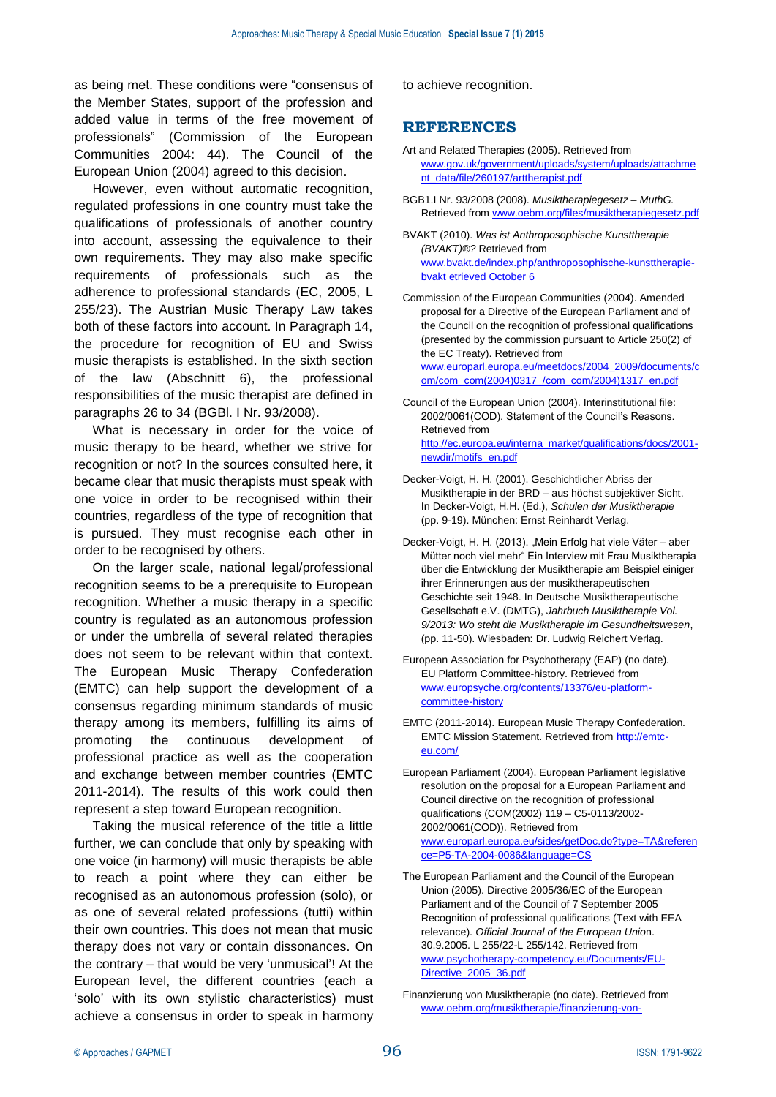as being met. These conditions were "consensus of the Member States, support of the profession and added value in terms of the free movement of professionals" (Commission of the European Communities 2004: 44). The Council of the European Union (2004) agreed to this decision.

However, even without automatic recognition, regulated professions in one country must take the qualifications of professionals of another country into account, assessing the equivalence to their own requirements. They may also make specific requirements of professionals such as the adherence to professional standards (EC, 2005, L 255/23). The Austrian Music Therapy Law takes both of these factors into account. In Paragraph 14, the procedure for recognition of EU and Swiss music therapists is established. In the sixth section of the law (Abschnitt 6), the professional responsibilities of the music therapist are defined in paragraphs 26 to 34 (BGBl. I Nr. 93/2008).

What is necessary in order for the voice of music therapy to be heard, whether we strive for recognition or not? In the sources consulted here, it became clear that music therapists must speak with one voice in order to be recognised within their countries, regardless of the type of recognition that is pursued. They must recognise each other in order to be recognised by others.

On the larger scale, national legal/professional recognition seems to be a prerequisite to European recognition. Whether a music therapy in a specific country is regulated as an autonomous profession or under the umbrella of several related therapies does not seem to be relevant within that context. The European Music Therapy Confederation (EMTC) can help support the development of a consensus regarding minimum standards of music therapy among its members, fulfilling its aims of promoting the continuous development of professional practice as well as the cooperation and exchange between member countries (EMTC 2011-2014). The results of this work could then represent a step toward European recognition.

Taking the musical reference of the title a little further, we can conclude that only by speaking with one voice (in harmony) will music therapists be able to reach a point where they can either be recognised as an autonomous profession (solo), or as one of several related professions (tutti) within their own countries. This does not mean that music therapy does not vary or contain dissonances. On the contrary – that would be very 'unmusical'! At the European level, the different countries (each a 'solo' with its own stylistic characteristics) must achieve a consensus in order to speak in harmony to achieve recognition.

# **REFERENCES**

- Art and Related Therapies (2005). Retrieved from [www.gov.uk/government/uploads/system/uploads/attachme](http://www.gov.uk/government/uploads/system/uploads/attachment_data/file/260197/arttherapist.pdf) [nt\\_data/file/260197/arttherapist.pdf](http://www.gov.uk/government/uploads/system/uploads/attachment_data/file/260197/arttherapist.pdf)
- BGB1.I Nr. 93/2008 (2008). *Musiktherapiegesetz – MuthG.*  Retrieved from [www.oebm.org/files/musiktherapiegesetz.pdf](http://www.oebm.org/files/musiktherapiegesetz.pdf)
- BVAKT (2010). *Was ist Anthroposophische Kunsttherapie (BVAKT)®?* Retrieved from [www.bvakt.de/index.php/anthroposophische-kunsttherapie](http://www.bvakt.de/index.php/anthroposophische-kunsttherapie-bvakt%20etrieved%20October%206)[bvakt etrieved October 6](http://www.bvakt.de/index.php/anthroposophische-kunsttherapie-bvakt%20etrieved%20October%206)
- Commission of the European Communities (2004). Amended proposal for a Directive of the European Parliament and of the Council on the recognition of professional qualifications (presented by the commission pursuant to Article 250(2) of the EC Treaty). Retrieved from

[www.europarl.europa.eu/meetdocs/2004\\_2009/documents/c](http://www.europarl.europa.eu/meetdocs/2004_2009/documents/com/com_com(2004)0317_/com_com/2004)1317_en.pdf) [om/com\\_com\(2004\)0317\\_/com\\_com/2004\)1317\\_en.pdf](http://www.europarl.europa.eu/meetdocs/2004_2009/documents/com/com_com(2004)0317_/com_com/2004)1317_en.pdf)

- Council of the European Union (2004). Interinstitutional file: 2002/0061(COD). Statement of the Council's Reasons. Retrieved from [http://ec.europa.eu/interna\\_market/qualifications/docs/2001](http://ec.europa.eu/interna_market/qualifications/docs/2001-newdir/motifs_en.pdf) [newdir/motifs\\_en.pdf](http://ec.europa.eu/interna_market/qualifications/docs/2001-newdir/motifs_en.pdf)
- Decker-Voigt, H. H. (2001). Geschichtlicher Abriss der Musiktherapie in der BRD – aus höchst subjektiver Sicht. In Decker-Voigt, H.H. (Ed.), *Schulen der Musiktherapie* (pp. 9-19). München: Ernst Reinhardt Verlag.
- Decker-Voigt, H. H. (2013). "Mein Erfolg hat viele Väter aber Mütter noch viel mehr" Ein Interview mit Frau Musiktherapia über die Entwicklung der Musiktherapie am Beispiel einiger ihrer Erinnerungen aus der musiktherapeutischen Geschichte seit 1948. In Deutsche Musiktherapeutische Gesellschaft e.V. (DMTG), *Jahrbuch Musiktherapie Vol. 9/2013: Wo steht die Musiktherapie im Gesundheitswesen*, (pp. 11-50). Wiesbaden: Dr. Ludwig Reichert Verlag.
- European Association for Psychotherapy (EAP) (no date). EU Platform Committee-history. Retrieved from [www.europsyche.org/contents/13376/eu-platform](http://www.europsyche.org/contents/13376/eu-platform-committee-history)[committee-history](http://www.europsyche.org/contents/13376/eu-platform-committee-history)
- EMTC (2011-2014). European Music Therapy Confederation. EMTC Mission Statement. Retrieved from [http://emtc](http://emtc-eu.com/)[eu.com/](http://emtc-eu.com/)
- European Parliament (2004). European Parliament legislative resolution on the proposal for a European Parliament and Council directive on the recognition of professional qualifications (COM(2002) 119 – C5-0113/2002- 2002/0061(COD)). Retrieved from [www.europarl.europa.eu/sides/getDoc.do?type=TA&referen](http://www.europarl.europa.eu/sides/getDoc.do?type=TA&reference=P5-TA-2004-0086&language=CS) [ce=P5-TA-2004-0086&language=CS](http://www.europarl.europa.eu/sides/getDoc.do?type=TA&reference=P5-TA-2004-0086&language=CS)
- The European Parliament and the Council of the European Union (2005). Directive 2005/36/EC of the European Parliament and of the Council of 7 September 2005 Recognition of professional qualifications (Text with EEA relevance). *Official Journal of the European Unio*n. 30.9.2005. L 255/22-L 255/142. Retrieved from [www.psychotherapy-competency.eu/Documents/EU-](http://www.psychotherapy-competency.eu/Documents/EU-Directive_2005_36.pdf)[Directive\\_2005\\_36.pdf](http://www.psychotherapy-competency.eu/Documents/EU-Directive_2005_36.pdf)

Finanzierung von Musiktherapie (no date). Retrieved from [www.oebm.org/musiktherapie/finanzierung-von-](http://www.oebm.org/musiktherapie/finanzierung-von-musiktherapie/finanzierung-von-musiktherapie.html)